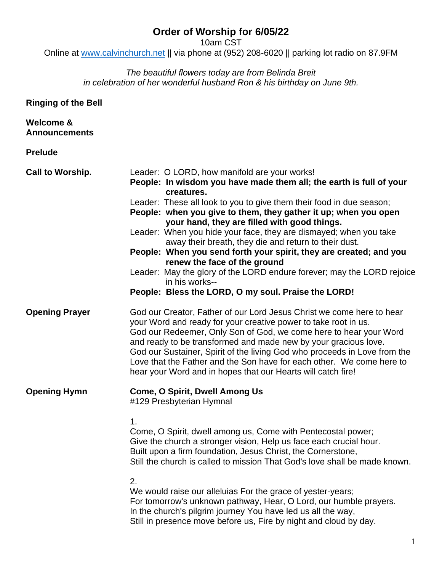# **Order of Worship for 6/05/22**

10am CST

Online at [www.calvinchurch.net](http://www.calvinchurch.net/) || via phone at (952) 208-6020 || parking lot radio on 87.9FM

### *The beautiful flowers today are from Belinda Breit in celebration of her wonderful husband Ron & his birthday on June 9th.*

**Ringing of the Bell**

| Welcome &<br><b>Announcements</b> |                                                                                                                                                                                                                                                                                                                                                                                                                                                                                                                                                                                                                                                                                                                     |
|-----------------------------------|---------------------------------------------------------------------------------------------------------------------------------------------------------------------------------------------------------------------------------------------------------------------------------------------------------------------------------------------------------------------------------------------------------------------------------------------------------------------------------------------------------------------------------------------------------------------------------------------------------------------------------------------------------------------------------------------------------------------|
| <b>Prelude</b>                    |                                                                                                                                                                                                                                                                                                                                                                                                                                                                                                                                                                                                                                                                                                                     |
| <b>Call to Worship.</b>           | Leader: O LORD, how manifold are your works!<br>People: In wisdom you have made them all; the earth is full of your<br>creatures.<br>Leader: These all look to you to give them their food in due season;<br>People: when you give to them, they gather it up; when you open<br>your hand, they are filled with good things.<br>Leader: When you hide your face, they are dismayed; when you take<br>away their breath, they die and return to their dust.<br>People: When you send forth your spirit, they are created; and you<br>renew the face of the ground<br>Leader: May the glory of the LORD endure forever; may the LORD rejoice<br>in his works--<br>People: Bless the LORD, O my soul. Praise the LORD! |
| <b>Opening Prayer</b>             | God our Creator, Father of our Lord Jesus Christ we come here to hear<br>your Word and ready for your creative power to take root in us.<br>God our Redeemer, Only Son of God, we come here to hear your Word<br>and ready to be transformed and made new by your gracious love.<br>God our Sustainer, Spirit of the living God who proceeds in Love from the<br>Love that the Father and the Son have for each other. We come here to<br>hear your Word and in hopes that our Hearts will catch fire!                                                                                                                                                                                                              |
| <b>Opening Hymn</b>               | <b>Come, O Spirit, Dwell Among Us</b><br>#129 Presbyterian Hymnal<br>1.<br>Come, O Spirit, dwell among us, Come with Pentecostal power;<br>Give the church a stronger vision, Help us face each crucial hour.<br>Built upon a firm foundation, Jesus Christ, the Cornerstone,<br>Still the church is called to mission That God's love shall be made known.<br>2.<br>We would raise our alleluias For the grace of yester-years;                                                                                                                                                                                                                                                                                    |
|                                   | For tomorrow's unknown pathway, Hear, O Lord, our humble prayers.<br>In the church's pilgrim journey You have led us all the way,<br>Still in presence move before us, Fire by night and cloud by day.                                                                                                                                                                                                                                                                                                                                                                                                                                                                                                              |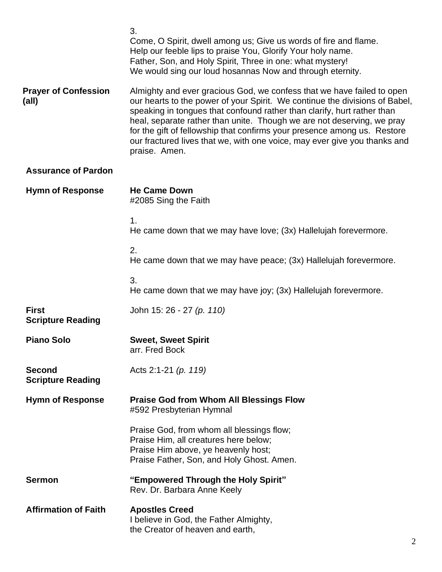|                                           | 3.<br>Come, O Spirit, dwell among us; Give us words of fire and flame.<br>Help our feeble lips to praise You, Glorify Your holy name.<br>Father, Son, and Holy Spirit, Three in one: what mystery!<br>We would sing our loud hosannas Now and through eternity.                                                                                                                                                                                                                      |
|-------------------------------------------|--------------------------------------------------------------------------------------------------------------------------------------------------------------------------------------------------------------------------------------------------------------------------------------------------------------------------------------------------------------------------------------------------------------------------------------------------------------------------------------|
| <b>Prayer of Confession</b><br>(all)      | Almighty and ever gracious God, we confess that we have failed to open<br>our hearts to the power of your Spirit. We continue the divisions of Babel,<br>speaking in tongues that confound rather than clarify, hurt rather than<br>heal, separate rather than unite. Though we are not deserving, we pray<br>for the gift of fellowship that confirms your presence among us. Restore<br>our fractured lives that we, with one voice, may ever give you thanks and<br>praise. Amen. |
| <b>Assurance of Pardon</b>                |                                                                                                                                                                                                                                                                                                                                                                                                                                                                                      |
| <b>Hymn of Response</b>                   | <b>He Came Down</b><br>#2085 Sing the Faith                                                                                                                                                                                                                                                                                                                                                                                                                                          |
|                                           | 1.<br>He came down that we may have love; (3x) Hallelujah forevermore.                                                                                                                                                                                                                                                                                                                                                                                                               |
|                                           | 2.<br>He came down that we may have peace; (3x) Hallelujah forevermore.                                                                                                                                                                                                                                                                                                                                                                                                              |
|                                           | 3.<br>He came down that we may have joy; (3x) Hallelujah forevermore.                                                                                                                                                                                                                                                                                                                                                                                                                |
| <b>First</b><br><b>Scripture Reading</b>  | John 15: 26 - 27 (p. 110)                                                                                                                                                                                                                                                                                                                                                                                                                                                            |
| <b>Piano Solo</b>                         | <b>Sweet, Sweet Spirit</b><br>arr. Fred Bock                                                                                                                                                                                                                                                                                                                                                                                                                                         |
| <b>Second</b><br><b>Scripture Reading</b> | Acts 2:1-21 $(p. 119)$                                                                                                                                                                                                                                                                                                                                                                                                                                                               |
| <b>Hymn of Response</b>                   | <b>Praise God from Whom All Blessings Flow</b><br>#592 Presbyterian Hymnal                                                                                                                                                                                                                                                                                                                                                                                                           |
|                                           | Praise God, from whom all blessings flow;<br>Praise Him, all creatures here below;<br>Praise Him above, ye heavenly host;<br>Praise Father, Son, and Holy Ghost. Amen.                                                                                                                                                                                                                                                                                                               |
| <b>Sermon</b>                             | "Empowered Through the Holy Spirit"<br>Rev. Dr. Barbara Anne Keely                                                                                                                                                                                                                                                                                                                                                                                                                   |
| <b>Affirmation of Faith</b>               | <b>Apostles Creed</b><br>I believe in God, the Father Almighty,<br>the Creator of heaven and earth,                                                                                                                                                                                                                                                                                                                                                                                  |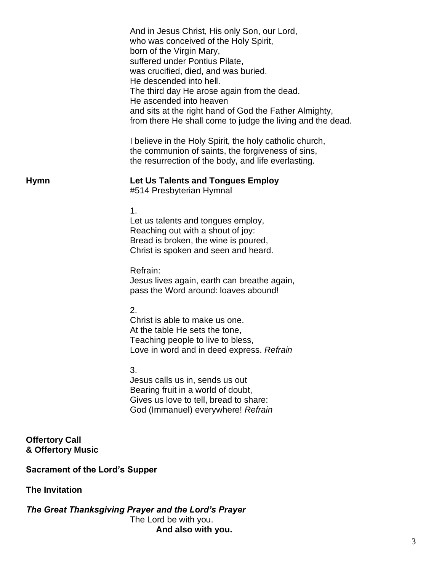|                                            | And in Jesus Christ, His only Son, our Lord,<br>who was conceived of the Holy Spirit,<br>born of the Virgin Mary,<br>suffered under Pontius Pilate,<br>was crucified, died, and was buried.<br>He descended into hell.<br>The third day He arose again from the dead.<br>He ascended into heaven<br>and sits at the right hand of God the Father Almighty,<br>from there He shall come to judge the living and the dead. |  |
|--------------------------------------------|--------------------------------------------------------------------------------------------------------------------------------------------------------------------------------------------------------------------------------------------------------------------------------------------------------------------------------------------------------------------------------------------------------------------------|--|
|                                            | I believe in the Holy Spirit, the holy catholic church,<br>the communion of saints, the forgiveness of sins,<br>the resurrection of the body, and life everlasting.                                                                                                                                                                                                                                                      |  |
| <b>Hymn</b>                                | Let Us Talents and Tongues Employ<br>#514 Presbyterian Hymnal                                                                                                                                                                                                                                                                                                                                                            |  |
|                                            | 1.<br>Let us talents and tongues employ,<br>Reaching out with a shout of joy:<br>Bread is broken, the wine is poured,<br>Christ is spoken and seen and heard.                                                                                                                                                                                                                                                            |  |
|                                            | Refrain:<br>Jesus lives again, earth can breathe again,<br>pass the Word around: loaves abound!                                                                                                                                                                                                                                                                                                                          |  |
|                                            | 2.<br>Christ is able to make us one.<br>At the table He sets the tone,<br>Teaching people to live to bless,<br>Love in word and in deed express. Refrain                                                                                                                                                                                                                                                                 |  |
|                                            | 3.<br>Jesus calls us in, sends us out<br>Bearing fruit in a world of doubt,<br>Gives us love to tell, bread to share:<br>God (Immanuel) everywhere! Refrain                                                                                                                                                                                                                                                              |  |
| <b>Offertory Call</b><br>& Offertory Music |                                                                                                                                                                                                                                                                                                                                                                                                                          |  |
| <b>Sacrament of the Lord's Supper</b>      |                                                                                                                                                                                                                                                                                                                                                                                                                          |  |
| <b>The Invitation</b>                      |                                                                                                                                                                                                                                                                                                                                                                                                                          |  |

*The Great Thanksgiving Prayer and the Lord's Prayer* The Lord be with you. **And also with you.**